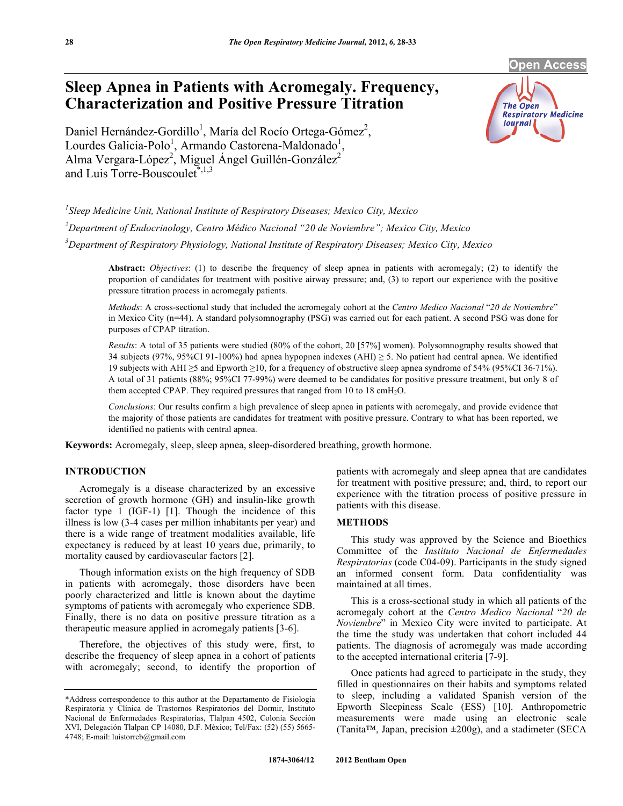**Open Access** 

# **Sleep Apnea in Patients with Acromegaly. Frequency, Characterization and Positive Pressure Titration**

Daniel Hernández-Gordillo<sup>1</sup>, María del Rocío Ortega-Gómez<sup>2</sup>, Lourdes Galicia-Polo<sup>1</sup>, Armando Castorena-Maldonado<sup>1</sup>, Alma Vergara-López<sup>2</sup>, Miguel Ángel Guillén-González<sup>2</sup> and Luis Torre-Bouscoulet $*$ ,<sup>1,3</sup>

*1 Sleep Medicine Unit, National Institute of Respiratory Diseases; Mexico City, Mexico 2 Department of Endocrinology, Centro Médico Nacional "20 de Noviembre"; Mexico City, Mexico 3 Department of Respiratory Physiology, National Institute of Respiratory Diseases; Mexico City, Mexico* 

**Abstract:** *Objectives*: (1) to describe the frequency of sleep apnea in patients with acromegaly; (2) to identify the proportion of candidates for treatment with positive airway pressure; and, (3) to report our experience with the positive pressure titration process in acromegaly patients.

*Methods*: A cross-sectional study that included the acromegaly cohort at the *Centro Medico Nacional* "*20 de Noviembre*" in Mexico City (n=44). A standard polysomnography (PSG) was carried out for each patient. A second PSG was done for purposes of CPAP titration.

*Results*: A total of 35 patients were studied (80% of the cohort, 20 [57%] women). Polysomnography results showed that 34 subjects (97%, 95%CI 91-100%) had apnea hypopnea indexes (AHI)  $\geq$  5. No patient had central apnea. We identified 19 subjects with AHI  $\geq$ 5 and Epworth  $\geq$ 10, for a frequency of obstructive sleep apnea syndrome of 54% (95%CI 36-71%). A total of 31 patients (88%; 95%CI 77-99%) were deemed to be candidates for positive pressure treatment, but only 8 of them accepted CPAP. They required pressures that ranged from 10 to 18  $\text{cm}H_2O$ .

*Conclusions*: Our results confirm a high prevalence of sleep apnea in patients with acromegaly, and provide evidence that the majority of those patients are candidates for treatment with positive pressure. Contrary to what has been reported, we identified no patients with central apnea.

**Keywords:** Acromegaly, sleep, sleep apnea, sleep-disordered breathing, growth hormone.

# **INTRODUCTION**

 Acromegaly is a disease characterized by an excessive secretion of growth hormone (GH) and insulin-like growth factor type 1 (IGF-1) [1]. Though the incidence of this illness is low (3-4 cases per million inhabitants per year) and there is a wide range of treatment modalities available, life expectancy is reduced by at least 10 years due, primarily, to mortality caused by cardiovascular factors [2].

 Though information exists on the high frequency of SDB in patients with acromegaly, those disorders have been poorly characterized and little is known about the daytime symptoms of patients with acromegaly who experience SDB. Finally, there is no data on positive pressure titration as a therapeutic measure applied in acromegaly patients [3-6].

 Therefore, the objectives of this study were, first, to describe the frequency of sleep apnea in a cohort of patients with acromegaly; second, to identify the proportion of patients with acromegaly and sleep apnea that are candidates for treatment with positive pressure; and, third, to report our experience with the titration process of positive pressure in patients with this disease.

# **METHODS**

 This study was approved by the Science and Bioethics Committee of the *Instituto Nacional de Enfermedades Respiratorias* (code C04-09). Participants in the study signed an informed consent form. Data confidentiality was maintained at all times.

 This is a cross-sectional study in which all patients of the acromegaly cohort at the *Centro Medico Nacional* "*20 de Noviembre*" in Mexico City were invited to participate. At the time the study was undertaken that cohort included 44 patients. The diagnosis of acromegaly was made according to the accepted international criteria [7-9].

 Once patients had agreed to participate in the study, they filled in questionnaires on their habits and symptoms related to sleep, including a validated Spanish version of the Epworth Sleepiness Scale (ESS) [10]. Anthropometric measurements were made using an electronic scale (Tanita<sup>™</sup>, Japan, precision  $\pm 200$ g), and a stadimeter (SECA



<sup>\*</sup>Address correspondence to this author at the Departamento de Fisiología Respiratoria y Clínica de Trastornos Respiratorios del Dormir, Instituto Nacional de Enfermedades Respiratorias, Tlalpan 4502, Colonia Sección XVI, Delegación Tlalpan CP 14080, D.F. México; Tel/Fax: (52) (55) 5665- 4748; E-mail: luistorreb@gmail.com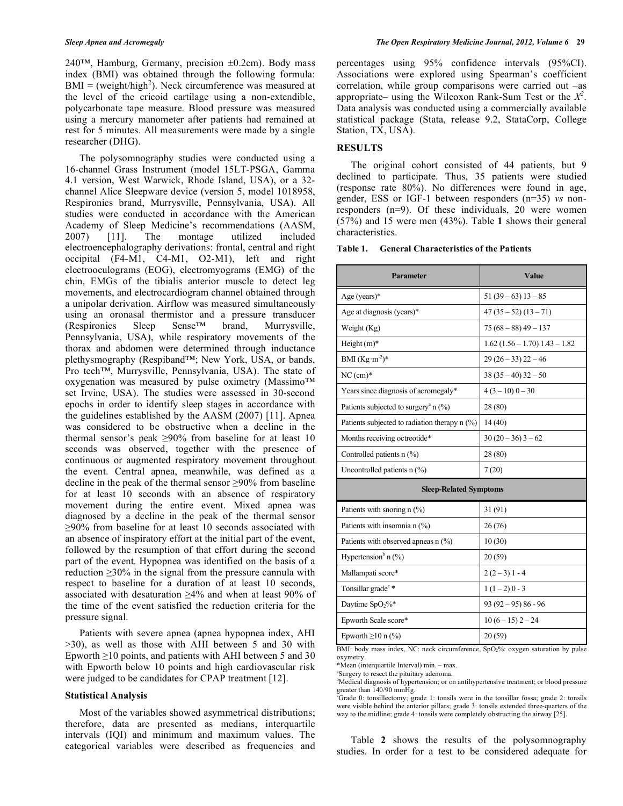240<sup>™</sup>, Hamburg, Germany, precision  $±0.2$ cm). Body mass index (BMI) was obtained through the following formula:  $BMI = (weight/high<sup>2</sup>)$ . Neck circumference was measured at the level of the cricoid cartilage using a non-extendible, polycarbonate tape measure. Blood pressure was measured using a mercury manometer after patients had remained at rest for 5 minutes. All measurements were made by a single researcher (DHG).

 The polysomnography studies were conducted using a 16-channel Grass Instrument (model 15LT-PSGA, Gamma 4.1 version, West Warwick, Rhode Island, USA), or a 32 channel Alice Sleepware device (version 5, model 1018958, Respironics brand, Murrysville, Pennsylvania, USA). All studies were conducted in accordance with the American Academy of Sleep Medicine's recommendations (AASM, 2007) [11]. The montage utilized included electroencephalography derivations: frontal, central and right occipital (F4-M1, C4-M1, O2-M1), left and right electrooculograms (EOG), electromyograms (EMG) of the chin, EMGs of the tibialis anterior muscle to detect leg movements, and electrocardiogram channel obtained through a unipolar derivation. Airflow was measured simultaneously using an oronasal thermistor and a pressure transducer<br>(Respironics Sleep Sense<sup>TM</sup> brand, Murrysville, (Respironics Sleep Sense™ brand, Murrysville, Pennsylvania, USA), while respiratory movements of the thorax and abdomen were determined through inductance plethysmography (Respiband™; New York, USA, or bands, Pro tech™, Murrysville, Pennsylvania, USA). The state of oxygenation was measured by pulse oximetry (Massimo™ set Irvine, USA). The studies were assessed in 30-second epochs in order to identify sleep stages in accordance with the guidelines established by the AASM (2007) [11]. Apnea was considered to be obstructive when a decline in the thermal sensor's peak  $\geq 90\%$  from baseline for at least 10 seconds was observed, together with the presence of continuous or augmented respiratory movement throughout the event. Central apnea, meanwhile, was defined as a decline in the peak of the thermal sensor  $\geq 90\%$  from baseline for at least 10 seconds with an absence of respiratory movement during the entire event. Mixed apnea was diagnosed by a decline in the peak of the thermal sensor  $\geq$ 90% from baseline for at least 10 seconds associated with an absence of inspiratory effort at the initial part of the event, followed by the resumption of that effort during the second part of the event. Hypopnea was identified on the basis of a reduction  $\geq 30\%$  in the signal from the pressure cannula with respect to baseline for a duration of at least 10 seconds, associated with desaturation  $\geq 4\%$  and when at least 90% of the time of the event satisfied the reduction criteria for the pressure signal.

 Patients with severe apnea (apnea hypopnea index, AHI >30), as well as those with AHI between 5 and 30 with Epworth  $\geq 10$  points, and patients with AHI between 5 and 30 with Epworth below 10 points and high cardiovascular risk were judged to be candidates for CPAP treatment [12].

#### **Statistical Analysis**

 Most of the variables showed asymmetrical distributions; therefore, data are presented as medians, interquartile intervals (IQI) and minimum and maximum values. The categorical variables were described as frequencies and

percentages using 95% confidence intervals (95%CI). Associations were explored using Spearman's coefficient correlation, while group comparisons were carried out –as appropriate– using the Wilcoxon Rank-Sum Test or the  $X^2$ . Data analysis was conducted using a commercially available statistical package (Stata, release 9.2, StataCorp, College Station, TX, USA).

# **RESULTS**

 The original cohort consisted of 44 patients, but 9 declined to participate. Thus, 35 patients were studied (response rate 80%). No differences were found in age, gender, ESS or IGF-1 between responders (n=35) *vs* nonresponders (n=9). Of these individuals, 20 were women (57%) and 15 were men (43%). Table **1** shows their general characteristics.

#### **Table 1. General Characteristics of the Patients**

| Parameter                                                                                | Value                                                                                                                  |  |  |  |  |
|------------------------------------------------------------------------------------------|------------------------------------------------------------------------------------------------------------------------|--|--|--|--|
| Age (years) $*$                                                                          | $51(39-63)13-85$                                                                                                       |  |  |  |  |
| Age at diagnosis (years)*                                                                | $47(35-52)(13-71)$                                                                                                     |  |  |  |  |
| Weight (Kg)                                                                              | $75(68-88)49-137$                                                                                                      |  |  |  |  |
| Height $(m)^*$                                                                           | $1.62$ $(1.56 - 1.70)$ $1.43 - 1.82$                                                                                   |  |  |  |  |
| BMI $(Kg·m-2)*$                                                                          | $29(26-33)22-46$                                                                                                       |  |  |  |  |
| $NC$ (cm) $*$                                                                            | $38(35-40)32-50$                                                                                                       |  |  |  |  |
| Years since diagnosis of acromegaly*                                                     | $4(3-10)0-30$                                                                                                          |  |  |  |  |
| Patients subjected to surgery <sup>a</sup> n $(\%)$                                      | 28 (80)                                                                                                                |  |  |  |  |
| Patients subjected to radiation therapy $n$ (%)                                          | 14(40)                                                                                                                 |  |  |  |  |
| Months receiving octreotide*                                                             | $30(20-36)3-62$                                                                                                        |  |  |  |  |
| Controlled patients n (%)                                                                | 28 (80)                                                                                                                |  |  |  |  |
| Uncontrolled patients $n$ (%)                                                            | 7(20)                                                                                                                  |  |  |  |  |
| <b>Sleep-Related Symptoms</b>                                                            |                                                                                                                        |  |  |  |  |
| Patients with snoring n (%)                                                              | 31 (91)                                                                                                                |  |  |  |  |
| Patients with insomnia n (%)                                                             | 26(76)                                                                                                                 |  |  |  |  |
| Patients with observed apneas $n$ (%)                                                    | 10(30)                                                                                                                 |  |  |  |  |
| Hypertension <sup>b</sup> n $(\%)$                                                       | 20(59)                                                                                                                 |  |  |  |  |
| Mallampati score*                                                                        | $2(2-3)1-4$                                                                                                            |  |  |  |  |
| Tonsillar grade <sup>c</sup> *                                                           | $1(1-2)0-3$                                                                                                            |  |  |  |  |
| Daytime SpO <sub>2</sub> %*                                                              | $93(92 - 95)86 - 96$                                                                                                   |  |  |  |  |
| Epworth Scale score*                                                                     | $10(6-15)2-24$                                                                                                         |  |  |  |  |
| Epworth $\geq 10$ n (%)<br>$DML$ hade moss index $MC$ in<br>سندحاء<br>$f_{\alpha\alpha}$ | 20(59)<br>turation bu<br>$\mathcal{C}_{\mathbf{m}} \cap \mathcal{D}'$ and $\mathcal{C}_{\mathbf{m}}$<br>$\overline{1}$ |  |  |  |  |

BMI: body mass index, NC: neck circumference, SpO<sub>2</sub>%: oxygen saturation by pu oxymetry.

\*Mean (interquartile Interval) min. – max.

a Surgery to resect the pituitary adenoma.

<sup>b</sup>Medical diagnosis of hypertension; or on antihypertensive treatment; or blood pressure greater than 140/90 mmHg.

<sup>c</sup>Grade 0: tonsillectomy; grade 1: tonsils were in the tonsillar fossa; grade 2: tonsils were visible behind the anterior pillars; grade 3: tonsils extended three-quarters of the way to the midline; grade 4: tonsils were completely obstructing the airway [25].

 Table **2** shows the results of the polysomnography studies. In order for a test to be considered adequate for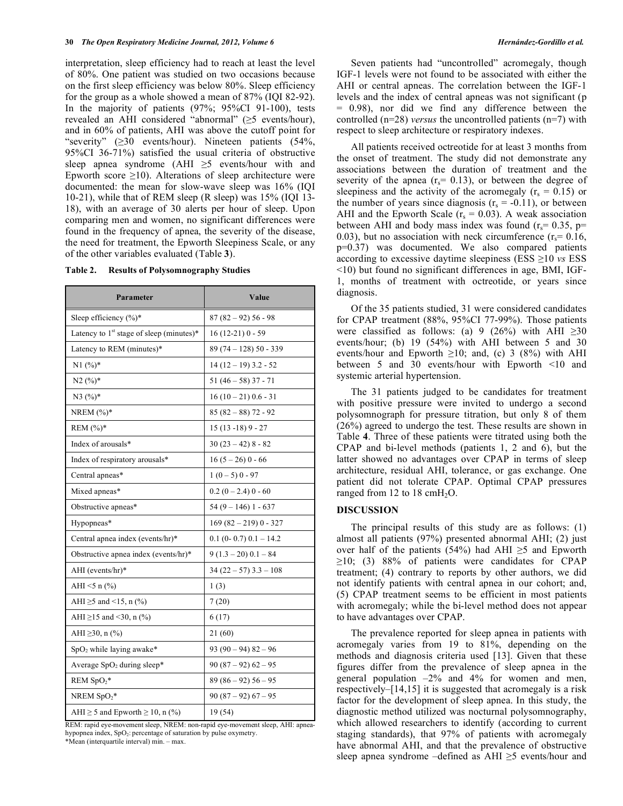interpretation, sleep efficiency had to reach at least the level of 80%. One patient was studied on two occasions because on the first sleep efficiency was below 80%. Sleep efficiency for the group as a whole showed a mean of 87% (IQI 82-92). In the majority of patients (97%; 95%CI 91-100), tests revealed an AHI considered "abnormal" ( $\geq$ 5 events/hour), and in 60% of patients, AHI was above the cutoff point for "severity"  $(\geq 30$  events/hour). Nineteen patients  $(54\%,$ 95%CI 36-71%) satisfied the usual criteria of obstructive sleep apnea syndrome  $(AHI \geq 5$  events/hour with and Epworth score  $\geq 10$ ). Alterations of sleep architecture were documented: the mean for slow-wave sleep was 16% (IQI 10-21), while that of REM sleep (R sleep) was 15% (IQI 13- 18), with an average of 30 alerts per hour of sleep. Upon comparing men and women, no significant differences were found in the frequency of apnea, the severity of the disease, the need for treatment, the Epworth Sleepiness Scale, or any of the other variables evaluated (Table **3**).

| Parameter                                            | Value                       |  |  |  |
|------------------------------------------------------|-----------------------------|--|--|--|
| Sleep efficiency $(\%)^*$                            | $87(82 - 92)56 - 98$        |  |  |  |
| Latency to 1 <sup>st</sup> stage of sleep (minutes)* | $16(12-21)0 - 59$           |  |  |  |
| Latency to REM (minutes)*                            | $89(74 - 128)50 - 339$      |  |  |  |
| $N1(%)$ *                                            | $14(12-19)$ 3.2 - 52        |  |  |  |
| $N2 (%)$ *                                           | $51(46-58)37-71$            |  |  |  |
| $N3 (%)^*$                                           | $16(10-21)0.6 - 31$         |  |  |  |
| NREM $(%)^*$                                         | $85(82-88)$ 72 - 92         |  |  |  |
| REM $(%)^*$                                          | $15(13-18)9 - 27$           |  |  |  |
| Index of arousals*                                   | $30(23-42)$ 8 - 82          |  |  |  |
| Index of respiratory arousals*                       | $16(5-26)0-66$              |  |  |  |
| Central apneas*                                      | $1(0-5)0-97$                |  |  |  |
| Mixed apneas*                                        | $0.2(0-2.4)0-60$            |  |  |  |
| Obstructive apneas*                                  | $54(9 - 146)$ 1 - 637       |  |  |  |
| Hypopneas*                                           | $169(82 - 219)0 - 327$      |  |  |  |
| Central apnea index (events/hr)*                     | $0.1$ (0- 0.7) $0.1 - 14.2$ |  |  |  |
| Obstructive apnea index (events/hr)*                 | $9(1.3-20)0.1-84$           |  |  |  |
| AHI (events/hr)*                                     | $34(22-57)$ 3.3 - 108       |  |  |  |
| AHI $\leq 5$ n $(\% )$                               | 1(3)                        |  |  |  |
| AHI $\ge$ 5 and <15, n (%)                           | 7(20)                       |  |  |  |
| AHI $\geq$ 15 and <30, n (%)                         | 6(17)                       |  |  |  |
| AHI ≥30, n (%)                                       | 21 (60)                     |  |  |  |
| SpO <sub>2</sub> while laying awake*                 | $93(90-94)82-96$            |  |  |  |
| Average $SpO2$ during sleep*                         | $90(87-92)62-95$            |  |  |  |
| $REM SpO2*$                                          | $89(86-92)56-95$            |  |  |  |
| NREM $SpO_2^*$                                       | $90(87-92)67-95$            |  |  |  |
| AHI $\geq$ 5 and Epworth $\geq$ 10, n (%)            | 19 (54)                     |  |  |  |

**Table 2. Results of Polysomnography Studies** 

REM: rapid eye-movement sleep, NREM: non-rapid eye-movement sleep, AHI: apneahypopnea index, SpO<sub>2</sub>: percentage of saturation by pulse oxymetry.

\*Mean (interquartile interval) min. – max.

 Seven patients had "uncontrolled" acromegaly, though IGF-1 levels were not found to be associated with either the AHI or central apneas. The correlation between the IGF-1 levels and the index of central apneas was not significant (p = 0.98), nor did we find any difference between the controlled (n=28) *versus* the uncontrolled patients (n=7) with respect to sleep architecture or respiratory indexes.

 All patients received octreotide for at least 3 months from the onset of treatment. The study did not demonstrate any associations between the duration of treatment and the severity of the apnea  $(r_s= 0.13)$ , or between the degree of sleepiness and the activity of the acromegaly ( $r_s = 0.15$ ) or the number of years since diagnosis  $(r_s = -0.11)$ , or between AHI and the Epworth Scale  $(r_s = 0.03)$ . A weak association between AHI and body mass index was found  $(r_s = 0.35, p=$ 0.03), but no association with neck circumference  $(r_s = 0.16$ , p=0.37) was documented. We also compared patients according to excessive daytime sleepiness (ESS  $\geq$ 10 *vs* ESS <10) but found no significant differences in age, BMI, IGF-1, months of treatment with octreotide, or years since diagnosis.

 Of the 35 patients studied, 31 were considered candidates for CPAP treatment (88%, 95%CI 77-99%). Those patients were classified as follows: (a) 9 (26%) with AHI  $\geq 30$ events/hour; (b) 19 (54%) with AHI between 5 and 30 events/hour and Epworth  $\geq 10$ ; and, (c) 3 (8%) with AHI between 5 and 30 events/hour with Epworth <10 and systemic arterial hypertension.

 The 31 patients judged to be candidates for treatment with positive pressure were invited to undergo a second polysomnograph for pressure titration, but only 8 of them (26%) agreed to undergo the test. These results are shown in Table **4**. Three of these patients were titrated using both the CPAP and bi-level methods (patients 1, 2 and 6), but the latter showed no advantages over CPAP in terms of sleep architecture, residual AHI, tolerance, or gas exchange. One patient did not tolerate CPAP. Optimal CPAP pressures ranged from 12 to 18  $cmH<sub>2</sub>O$ .

#### **DISCUSSION**

 The principal results of this study are as follows: (1) almost all patients (97%) presented abnormal AHI; (2) just over half of the patients (54%) had AHI  $\geq$ 5 and Epworth  $\geq$ 10; (3) 88% of patients were candidates for CPAP treatment; (4) contrary to reports by other authors, we did not identify patients with central apnea in our cohort; and, (5) CPAP treatment seems to be efficient in most patients with acromegaly; while the bi-level method does not appear to have advantages over CPAP.

 The prevalence reported for sleep apnea in patients with acromegaly varies from 19 to 81%, depending on the methods and diagnosis criteria used [13]. Given that these figures differ from the prevalence of sleep apnea in the general population –2% and 4% for women and men, respectively–[14,15] it is suggested that acromegaly is a risk factor for the development of sleep apnea. In this study, the diagnostic method utilized was nocturnal polysomnography, which allowed researchers to identify (according to current staging standards), that 97% of patients with acromegaly have abnormal AHI, and that the prevalence of obstructive sleep apnea syndrome –defined as  $AHI \geq 5$  events/hour and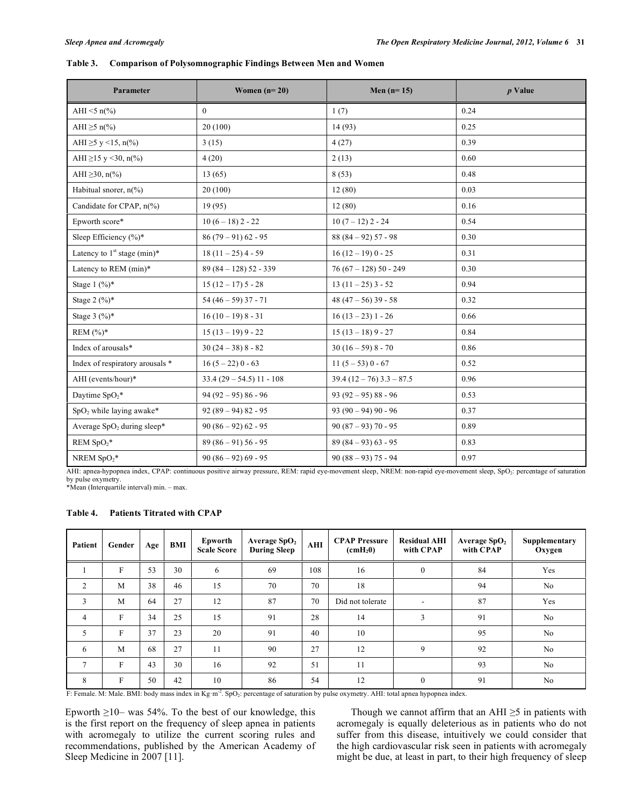# **Table 3. Comparison of Polysomnographic Findings Between Men and Women**

| Parameter                       | Women $(n=20)$            | Men $(n=15)$           | $p$ Value |  |  |
|---------------------------------|---------------------------|------------------------|-----------|--|--|
| AHI <5 $n\frac{6}{6}$           | $\boldsymbol{0}$          | 1(7)                   | 0.24      |  |  |
| AHI $\geq$ 5 n(%)               | 20(100)                   | 14 (93)                | 0.25      |  |  |
| AHI $\geq$ 5 y <15, n(%)        | 3(15)                     | 4(27)                  | 0.39      |  |  |
| AHI $\geq$ 15 y <30, n(%)       | 4(20)                     | 2(13)                  | 0.60      |  |  |
| AHI $\geq$ 30, n(%)             | 13(65)                    | 8(53)                  | 0.48      |  |  |
| Habitual snorer, $n\frac{6}{6}$ | 20(100)                   | 12(80)                 | 0.03      |  |  |
| Candidate for CPAP, n(%)        | 19(95)                    | 12(80)                 | 0.16      |  |  |
| Epworth score*                  | $10(6-18)$ 2 - 22         | $10(7 - 12)$ 2 - 24    | 0.54      |  |  |
| Sleep Efficiency (%)*           | $86(79-91)62 - 95$        | $88(84-92)57-98$       | 0.30      |  |  |
| Latency to $1st$ stage (min)*   | $18(11-25)$ 4 - 59        | $16(12-19)0-25$        | 0.31      |  |  |
| Latency to REM (min)*           | $89(84 - 128)52 - 339$    | $76(67 - 128)50 - 249$ | 0.30      |  |  |
| Stage $1 \frac{(\%)^*}{)}$      | $15(12-17)5-28$           | $13(11-25)$ 3 - 52     | 0.94      |  |  |
| Stage $2(%)^*$                  | $54(46-59)37 - 71$        | 48 (47 – 56) 39 - 58   | 0.32      |  |  |
| Stage $3(%)^*$                  | $16(10-19)8-31$           | $16(13-23)1-26$        | 0.66      |  |  |
| REM $(%)^*$                     | $15(13-19)9-22$           | $15(13 - 18)9 - 27$    | 0.84      |  |  |
| Index of arousals*              | $30(24-38)8-82$           | $30(16-59)8-70$        | 0.86      |  |  |
| Index of respiratory arousals * | $16(5-22)0-63$            | $11(5-53)0-67$         | 0.52      |  |  |
| AHI (events/hour)*              | $33.4(29 - 54.5)11 - 108$ | $39.4(12-76)3.3-87.5$  | 0.96      |  |  |
| Daytime $SpO_2^*$               | $94(92 - 95)86 - 96$      | $93(92 - 95)88 - 96$   | 0.53      |  |  |
| $SpO2$ while laying awake*      | $92(89-94)82-95$          | $93(90-94)90-96$       | 0.37      |  |  |
| Average $SpO2$ during sleep*    | $90(86-92)62-95$          | $90(87-93)$ 70 - 95    | 0.89      |  |  |
| REM $SpO_2^*$                   | $89(86-91)56-95$          | $89(84-93)63-95$       | 0.83      |  |  |
| NREM $SpO_2*$                   | $90(86-92)69 - 95$        | $90(88-93)$ 75 - 94    | 0.97      |  |  |

AHI: apnea-hypopnea index, CPAP: continuous positive airway pressure, REM: rapid eye-movement sleep, NREM: non-rapid eye-movement sleep, SpO2: percentage of saturation by pulse oxymetry. \*Mean (Interquartile interval) min. – max.

# **Table 4. Patients Titrated with CPAP**

| Patient        | Gender       | Age | BMI | Epworth<br><b>Scale Score</b> | Average $SpO2$<br><b>During Sleep</b> | AHI | <b>CPAP Pressure</b><br>$\text{cmH}_2\text{O}$ | <b>Residual AHI</b><br>with CPAP | Average $SpO2$<br>with CPAP | Supplementary<br>Oxygen |
|----------------|--------------|-----|-----|-------------------------------|---------------------------------------|-----|------------------------------------------------|----------------------------------|-----------------------------|-------------------------|
|                | F            | 53  | 30  | 6                             | 69                                    | 108 | 16                                             | $\mathbf{0}$                     | 84                          | Yes                     |
| $\overline{2}$ | M            | 38  | 46  | 15                            | 70                                    | 70  | 18                                             |                                  | 94                          | No                      |
| 3              | M            | 64  | 27  | 12                            | 87                                    | 70  | Did not tolerate                               |                                  | 87                          | Yes                     |
| $\overline{4}$ | F            | 34  | 25  | 15                            | 91                                    | 28  | 14                                             | 3                                | 91                          | No                      |
| 5              | F            | 37  | 23  | 20                            | 91                                    | 40  | 10                                             |                                  | 95                          | No                      |
| 6              | M            | 68  | 27  | 11                            | 90                                    | 27  | 12                                             | 9                                | 92                          | No                      |
| $\tau$         | $\mathbf{F}$ | 43  | 30  | 16                            | 92                                    | 51  | 11                                             |                                  | 93                          | No                      |
| 8              | F            | 50  | 42  | 10                            | 86                                    | 54  | 12                                             | $\mathbf{0}$                     | 91                          | No                      |

F: Female. M: Male. BMI: body mass index in Kg·m<sup>-2</sup>. SpO<sub>2</sub>: percentage of saturation by pulse oxymetry. AHI: total apnea hypopnea index.

Epworth  $\geq$ 10– was 54%. To the best of our knowledge, this is the first report on the frequency of sleep apnea in patients with acromegaly to utilize the current scoring rules and recommendations, published by the American Academy of Sleep Medicine in 2007 [11].

Though we cannot affirm that an AHI  $\geq$ 5 in patients with acromegaly is equally deleterious as in patients who do not suffer from this disease, intuitively we could consider that the high cardiovascular risk seen in patients with acromegaly might be due, at least in part, to their high frequency of sleep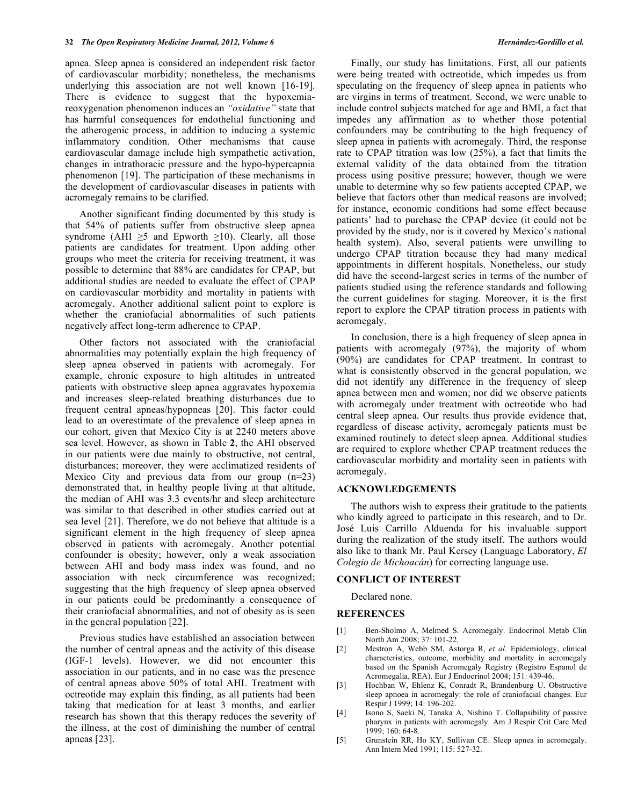apnea. Sleep apnea is considered an independent risk factor of cardiovascular morbidity; nonetheless, the mechanisms underlying this association are not well known [16-19]. There is evidence to suggest that the hypoxemiareoxygenation phenomenon induces an *"oxidative"* state that has harmful consequences for endothelial functioning and the atherogenic process, in addition to inducing a systemic inflammatory condition. Other mechanisms that cause cardiovascular damage include high sympathetic activation, changes in intrathoracic pressure and the hypo-hypercapnia phenomenon [19]. The participation of these mechanisms in the development of cardiovascular diseases in patients with acromegaly remains to be clarified.

 Another significant finding documented by this study is that 54% of patients suffer from obstructive sleep apnea syndrome (AHI  $\geq$ 5 and Epworth  $\geq$ 10). Clearly, all those patients are candidates for treatment. Upon adding other groups who meet the criteria for receiving treatment, it was possible to determine that 88% are candidates for CPAP, but additional studies are needed to evaluate the effect of CPAP on cardiovascular morbidity and mortality in patients with acromegaly. Another additional salient point to explore is whether the craniofacial abnormalities of such patients negatively affect long-term adherence to CPAP.

 Other factors not associated with the craniofacial abnormalities may potentially explain the high frequency of sleep apnea observed in patients with acromegaly. For example, chronic exposure to high altitudes in untreated patients with obstructive sleep apnea aggravates hypoxemia and increases sleep-related breathing disturbances due to frequent central apneas/hypopneas [20]. This factor could lead to an overestimate of the prevalence of sleep apnea in our cohort, given that Mexico City is at 2240 meters above sea level. However, as shown in Table **2**, the AHI observed in our patients were due mainly to obstructive, not central, disturbances; moreover, they were acclimatized residents of Mexico City and previous data from our group (n=23) demonstrated that, in healthy people living at that altitude, the median of AHI was 3.3 events/hr and sleep architecture was similar to that described in other studies carried out at sea level [21]. Therefore, we do not believe that altitude is a significant element in the high frequency of sleep apnea observed in patients with acromegaly. Another potential confounder is obesity; however, only a weak association between AHI and body mass index was found, and no association with neck circumference was recognized; suggesting that the high frequency of sleep apnea observed in our patients could be predominantly a consequence of their craniofacial abnormalities, and not of obesity as is seen in the general population [22].

 Previous studies have established an association between the number of central apneas and the activity of this disease (IGF-1 levels). However, we did not encounter this association in our patients, and in no case was the presence of central apneas above 50% of total AHI. Treatment with octreotide may explain this finding, as all patients had been taking that medication for at least 3 months, and earlier research has shown that this therapy reduces the severity of the illness, at the cost of diminishing the number of central apneas [23].

were being treated with octreotide, which impedes us from speculating on the frequency of sleep apnea in patients who are virgins in terms of treatment. Second, we were unable to include control subjects matched for age and BMI, a fact that impedes any affirmation as to whether those potential confounders may be contributing to the high frequency of sleep apnea in patients with acromegaly. Third, the response rate to CPAP titration was low (25%), a fact that limits the external validity of the data obtained from the titration process using positive pressure; however, though we were unable to determine why so few patients accepted CPAP, we believe that factors other than medical reasons are involved; for instance, economic conditions had some effect because patients' had to purchase the CPAP device (it could not be provided by the study, nor is it covered by Mexico's national health system). Also, several patients were unwilling to undergo CPAP titration because they had many medical appointments in different hospitals. Nonetheless, our study did have the second-largest series in terms of the number of patients studied using the reference standards and following the current guidelines for staging. Moreover, it is the first report to explore the CPAP titration process in patients with acromegaly.

 In conclusion, there is a high frequency of sleep apnea in patients with acromegaly (97%), the majority of whom (90%) are candidates for CPAP treatment. In contrast to what is consistently observed in the general population, we did not identify any difference in the frequency of sleep apnea between men and women; nor did we observe patients with acromegaly under treatment with octreotide who had central sleep apnea. Our results thus provide evidence that, regardless of disease activity, acromegaly patients must be examined routinely to detect sleep apnea. Additional studies are required to explore whether CPAP treatment reduces the cardiovascular morbidity and mortality seen in patients with acromegaly.

#### **ACKNOWLEDGEMENTS**

 The authors wish to express their gratitude to the patients who kindly agreed to participate in this research, and to Dr. José Luis Carrillo Alduenda for his invaluable support during the realization of the study itself. The authors would also like to thank Mr. Paul Kersey (Language Laboratory, *El Colegio de Michoacán*) for correcting language use.

#### **CONFLICT OF INTEREST**

Declared none.

#### **REFERENCES**

- [1] Ben-Sholmo A, Melmed S. Acromegaly. Endocrinol Metab Clin North Am 2008; 37: 101-22.
- [2] Mestron A, Webb SM, Astorga R, *et al*. Epidemiology, clinical characteristics, outcome, morbidity and mortality in acromegaly based on the Spanish Acromegaly Registry (Registro Espanol de Acromegalia, REA). Eur J Endocrinol 2004; 151: 439-46.
- [3] Hochban W, Ehlenz K, Conradt R, Brandenburg U. Obstructive sleep apnoea in acromegaly: the role of craniofacial changes. Eur Respir J 1999; 14: 196-202.
- [4] Isono S, Saeki N, Tanaka A, Nishino T. Collapsibility of passive pharynx in patients with acromegaly. Am J Respir Crit Care Med 1999; 160: 64-8.
- [5] Grunstein RR, Ho KY, Sullivan CE. Sleep apnea in acromegaly. Ann Intern Med 1991; 115: 527-32.